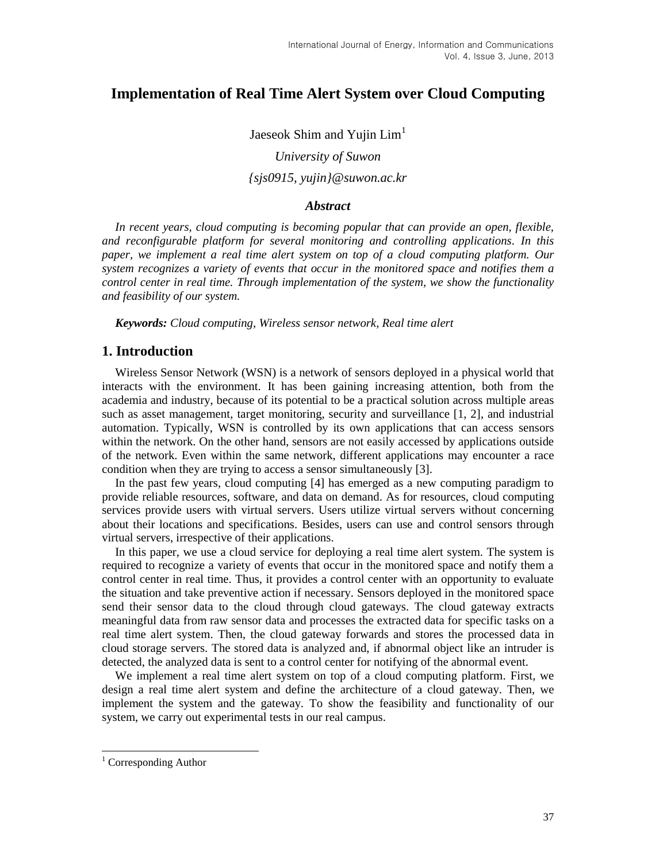# **Implementation of Real Time Alert System over Cloud Computing**

Jaeseok Shim and Yujin Lim<sup>1</sup> *University of Suwon {sjs0915, yujin}@suwon.ac.kr*

### *Abstract*

*In recent years, cloud computing is becoming popular that can provide an open, flexible, and reconfigurable platform for several monitoring and controlling applications. In this paper, we implement a real time alert system on top of a cloud computing platform. Our system recognizes a variety of events that occur in the monitored space and notifies them a control center in real time. Through implementation of the system, we show the functionality and feasibility of our system.*

*Keywords: Cloud computing, Wireless sensor network, Real time alert*

### **1. Introduction**

Wireless Sensor Network (WSN) is a network of sensors deployed in a physical world that interacts with the environment. It has been gaining increasing attention, both from the academia and industry, because of its potential to be a practical solution across multiple areas such as asset management, target monitoring, security and surveillance [1, 2], and industrial automation. Typically, WSN is controlled by its own applications that can access sensors within the network. On the other hand, sensors are not easily accessed by applications outside of the network. Even within the same network, different applications may encounter a race condition when they are trying to access a sensor simultaneously [3].

In the past few years, cloud computing [4] has emerged as a new computing paradigm to provide reliable resources, software, and data on demand. As for resources, cloud computing services provide users with virtual servers. Users utilize virtual servers without concerning about their locations and specifications. Besides, users can use and control sensors through virtual servers, irrespective of their applications.

In this paper, we use a cloud service for deploying a real time alert system. The system is required to recognize a variety of events that occur in the monitored space and notify them a control center in real time. Thus, it provides a control center with an opportunity to evaluate the situation and take preventive action if necessary. Sensors deployed in the monitored space send their sensor data to the cloud through cloud gateways. The cloud gateway extracts meaningful data from raw sensor data and processes the extracted data for specific tasks on a real time alert system. Then, the cloud gateway forwards and stores the processed data in cloud storage servers. The stored data is analyzed and, if abnormal object like an intruder is detected, the analyzed data is sent to a control center for notifying of the abnormal event.

We implement a real time alert system on top of a cloud computing platform. First, we design a real time alert system and define the architecture of a cloud gateway. Then, we implement the system and the gateway. To show the feasibility and functionality of our system, we carry out experimental tests in our real campus.

l

<sup>&</sup>lt;sup>1</sup> Corresponding Author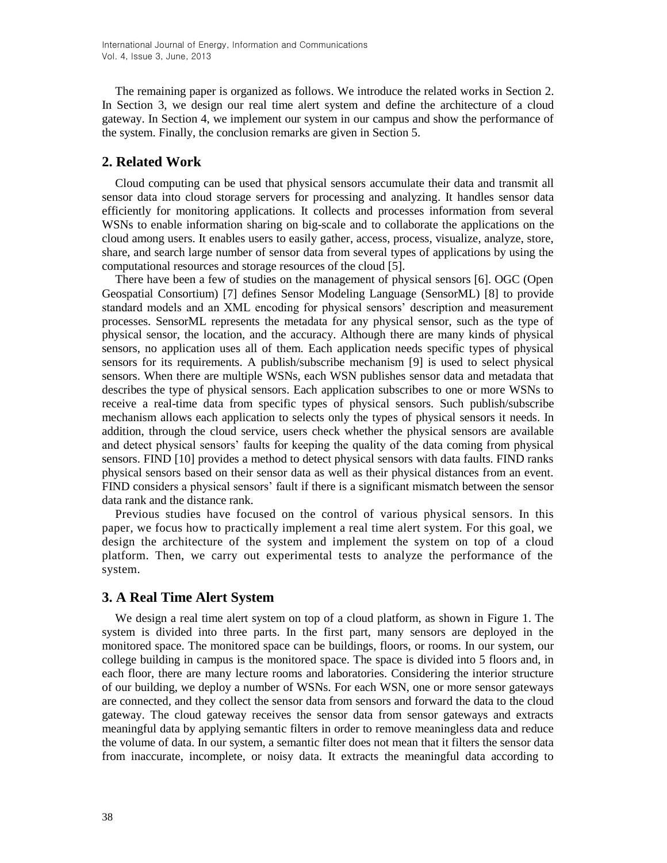The remaining paper is organized as follows. We introduce the related works in Section 2. In Section 3, we design our real time alert system and define the architecture of a cloud gateway. In Section 4, we implement our system in our campus and show the performance of the system. Finally, the conclusion remarks are given in Section 5.

## **2. Related Work**

Cloud computing can be used that physical sensors accumulate their data and transmit all sensor data into cloud storage servers for processing and analyzing. It handles sensor data efficiently for monitoring applications. It collects and processes information from several WSNs to enable information sharing on big-scale and to collaborate the applications on the cloud among users. It enables users to easily gather, access, process, visualize, analyze, store, share, and search large number of sensor data from several types of applications by using the computational resources and storage resources of the cloud [5].

There have been a few of studies on the management of physical sensors [6]. OGC (Open Geospatial Consortium) [7] defines Sensor Modeling Language (SensorML) [8] to provide standard models and an XML encoding for physical sensors' description and measurement processes. SensorML represents the metadata for any physical sensor, such as the type of physical sensor, the location, and the accuracy. Although there are many kinds of physical sensors, no application uses all of them. Each application needs specific types of physical sensors for its requirements. A publish/subscribe mechanism [9] is used to select physical sensors. When there are multiple WSNs, each WSN publishes sensor data and metadata that describes the type of physical sensors. Each application subscribes to one or more WSNs to receive a real-time data from specific types of physical sensors. Such publish/subscribe mechanism allows each application to selects only the types of physical sensors it needs. In addition, through the cloud service, users check whether the physical sensors are available and detect physical sensors' faults for keeping the quality of the data coming from physical sensors. FIND [10] provides a method to detect physical sensors with data faults. FIND ranks physical sensors based on their sensor data as well as their physical distances from an event. FIND considers a physical sensors' fault if there is a significant mismatch between the sensor data rank and the distance rank.

Previous studies have focused on the control of various physical sensors. In this paper, we focus how to practically implement a real time alert system. For this goal, we design the architecture of the system and implement the system on top of a cloud platform. Then, we carry out experimental tests to analyze the performance of the system.

### **3. A Real Time Alert System**

We design a real time alert system on top of a cloud platform, as shown in Figure 1. The system is divided into three parts. In the first part, many sensors are deployed in the monitored space. The monitored space can be buildings, floors, or rooms. In our system, our college building in campus is the monitored space. The space is divided into 5 floors and, in each floor, there are many lecture rooms and laboratories. Considering the interior structure of our building, we deploy a number of WSNs. For each WSN, one or more sensor gateways are connected, and they collect the sensor data from sensors and forward the data to the cloud gateway. The cloud gateway receives the sensor data from sensor gateways and extracts meaningful data by applying semantic filters in order to remove meaningless data and reduce the volume of data. In our system, a semantic filter does not mean that it filters the sensor data from inaccurate, incomplete, or noisy data. It extracts the meaningful data according to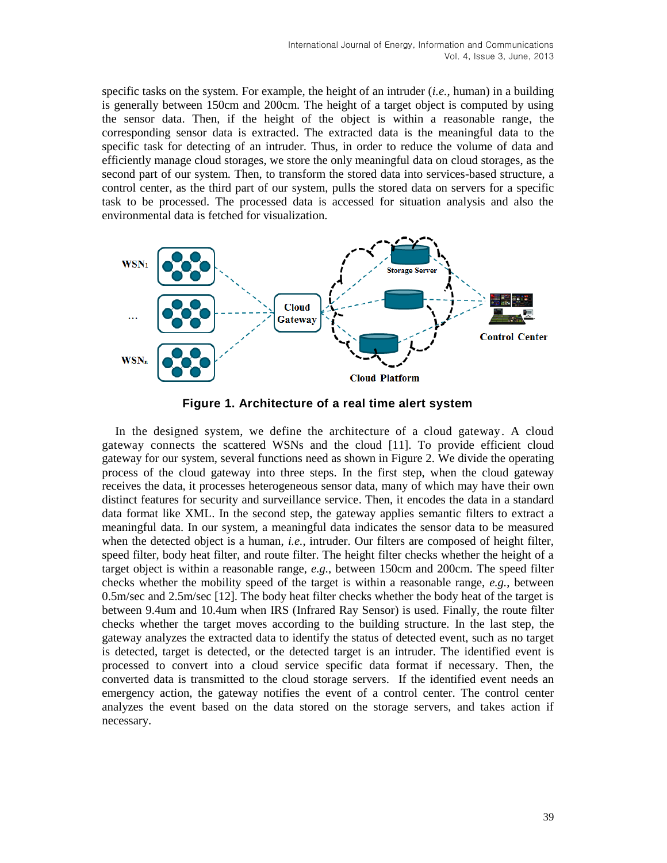specific tasks on the system. For example, the height of an intruder (*i.e.*, human) in a building is generally between 150cm and 200cm. The height of a target object is computed by using the sensor data. Then, if the height of the object is within a reasonable range, the corresponding sensor data is extracted. The extracted data is the meaningful data to the specific task for detecting of an intruder. Thus, in order to reduce the volume of data and efficiently manage cloud storages, we store the only meaningful data on cloud storages, as the second part of our system. Then, to transform the stored data into services-based structure, a control center, as the third part of our system, pulls the stored data on servers for a specific task to be processed. The processed data is accessed for situation analysis and also the environmental data is fetched for visualization.



**Figure 1. Architecture of a real time alert system**

In the designed system, we define the architecture of a cloud gateway. A cloud gateway connects the scattered WSNs and the cloud [11]. To provide efficient cloud gateway for our system, several functions need as shown in Figure 2. We divide the operating process of the cloud gateway into three steps. In the first step, when the cloud gateway receives the data, it processes heterogeneous sensor data, many of which may have their own distinct features for security and surveillance service. Then, it encodes the data in a standard data format like XML. In the second step, the gateway applies semantic filters to extract a meaningful data. In our system, a meaningful data indicates the sensor data to be measured when the detected object is a human, *i.e.*, intruder. Our filters are composed of height filter, speed filter, body heat filter, and route filter. The height filter checks whether the height of a target object is within a reasonable range, *e.g.*, between 150cm and 200cm. The speed filter checks whether the mobility speed of the target is within a reasonable range, *e.g.*, between 0.5m/sec and 2.5m/sec [12]. The body heat filter checks whether the body heat of the target is between 9.4um and 10.4um when IRS (Infrared Ray Sensor) is used. Finally, the route filter checks whether the target moves according to the building structure. In the last step, the gateway analyzes the extracted data to identify the status of detected event, such as no target is detected, target is detected, or the detected target is an intruder. The identified event is processed to convert into a cloud service specific data format if necessary. Then, the converted data is transmitted to the cloud storage servers. If the identified event needs an emergency action, the gateway notifies the event of a control center. The control center analyzes the event based on the data stored on the storage servers, and takes action if necessary.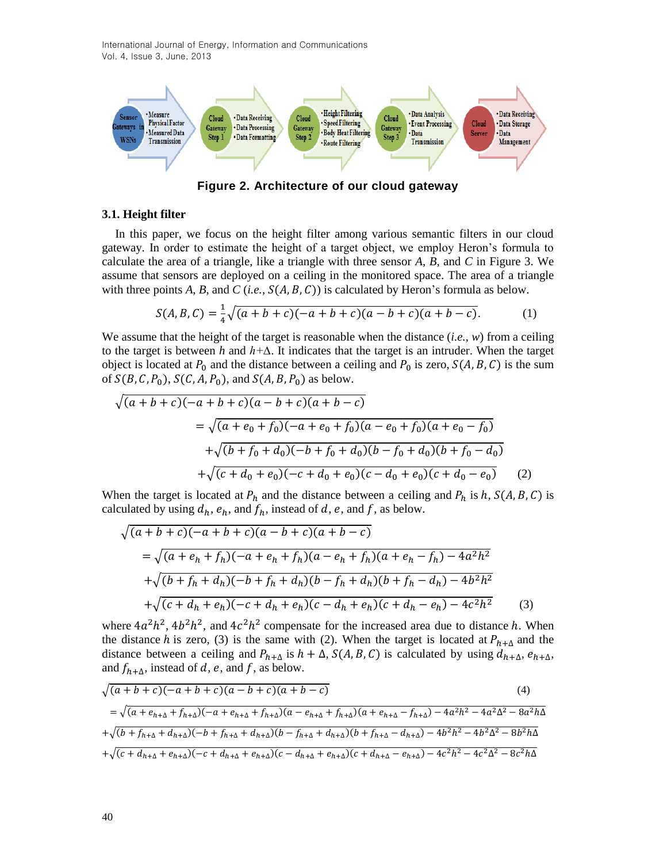International Journal of Energy, Information and Communications Vol. 4, Issue 3, June, 2013



**Figure 2. Architecture of our cloud gateway**

#### **3.1. Height filter**

In this paper, we focus on the height filter among various semantic filters in our cloud gateway. In order to estimate the height of a target object, we employ Heron's formula to calculate the area of a triangle, like a triangle with three sensor *A*, *B*, and *C* in Figure 3. We assume that sensors are deployed on a ceiling in the monitored space. The area of a triangle with three points  $A, B$ , and  $C$  (*i.e.*,  $S(A, B, C)$ ) is calculated by Heron's formula as below.

$$
S(A, B, C) = \frac{1}{4}\sqrt{(a+b+c)(-a+b+c)(a-b+c)(a+b-c)}.
$$
 (1)

We assume that the height of the target is reasonable when the distance (*i.e.*, *w*) from a ceiling to the target is between *h* and *h+∆*. It indicates that the target is an intruder. When the target object is located at  $P_0$  and the distance between a ceiling and  $P_0$  is zero,  $S(A, B, C)$  is the sum of  $S(B, C, P_0)$ ,  $S(C, A, P_0)$ , and  $S(A, B, P_0)$  as below.

$$
\sqrt{(a+b+c)(-a+b+c)(a-b+c)(a+b-c)}
$$
  
=  $\sqrt{(a+e_0+f_0)(-a+e_0+f_0)(a-e_0+f_0)(a+e_0-f_0)}$   
+  $\sqrt{(b+f_0+d_0)(-b+f_0+d_0)(b-f_0+d_0)(b+f_0-d_0)}$   
+  $\sqrt{(c+d_0+e_0)(-c+d_0+e_0)(c-d_0+e_0)(c+d_0-e_0)}$  (2)

When the target is located at  $P_h$  and the distance between a ceiling and  $P_h$  is h,  $S(A, B, C)$  is calculated by using  $d_h$ ,  $e_h$ , and  $f_h$ , instead of d, e, and f, as below.

$$
\sqrt{(a+b+c)(-a+b+c)(a-b+c)(a+b-c)}
$$
  
=  $\sqrt{(a+e_h+f_h)(-a+e_h+f_h)(a-e_h+f_h)(a+e_h-f_h) - 4a^2h^2}$   
+ $\sqrt{(b+f_h+d_h)(-b+f_h+d_h)(b-f_h+d_h)(b+f_h-d_h) - 4b^2h^2}$   
+ $\sqrt{(c+d_h+e_h)(-c+d_h+e_h)(c-d_h+e_h)(c+d_h-e_h) - 4c^2h^2}$  (3)

where  $4a^2h^2$ ,  $4b^2h^2$ , and  $4c^2h^2$  compensate for the increased area due to distance h. When the distance h is zero, (3) is the same with (2). When the target is located at  $P_{h+\Delta}$  and the distance between a ceiling and  $P_{h+\Delta}$  is  $h + \Delta$ ,  $S(A, B, C)$  is calculated by using  $d_{h+\Delta}$ ,  $e_{h+\Delta}$ , and  $f_{h+\Delta}$ , instead of d, e, and f, as below.

$$
\sqrt{(a+b+c)(-a+b+c)(a-b+c)(a+b-c)}
$$
\n(4)  
\n
$$
= \sqrt{(a+e_{h+\Delta}+f_{h+\Delta})(-a+e_{h+\Delta}+f_{h+\Delta})(a-e_{h+\Delta}+f_{h+\Delta})(a+e_{h+\Delta}-f_{h+\Delta})-4a^2h^2-4a^2\Delta^2-8a^2h\Delta^2}
$$
\n
$$
+\sqrt{(b+f_{h+\Delta}+d_{h+\Delta})(-b+f_{h+\Delta}+d_{h+\Delta})(b-f_{h+\Delta}+d_{h+\Delta})(b+f_{h+\Delta}-d_{h+\Delta})-4b^2h^2-4b^2\Delta^2-8b^2h\Delta}
$$
\n
$$
+\sqrt{(c+d_{h+\Delta}+e_{h+\Delta})(-c+d_{h+\Delta}+e_{h+\Delta})(c-d_{h+\Delta}+e_{h+\Delta})(c+d_{h+\Delta}-e_{h+\Delta})-4c^2h^2-4c^2\Delta^2-8c^2h\Delta}
$$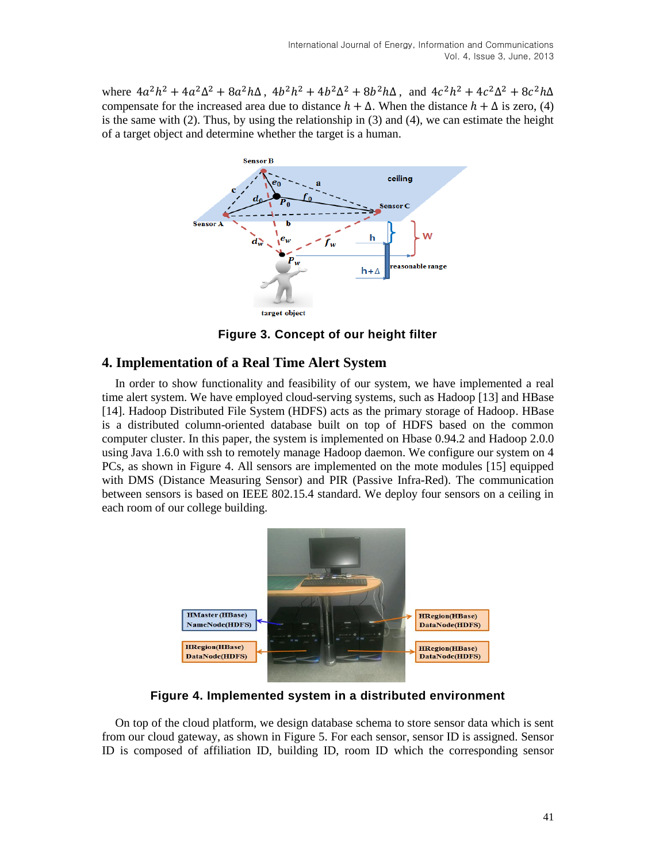where  $4a^2h^2 + 4a^2\Delta^2 + 8a^2h\Delta$ ,  $4b^2h^2 + 4b^2\Delta^2 + 8b^2h\Delta$ , and  $4c^2h^2 + 4c^2\Delta^2 + 8c^2$ compensate for the increased area due to distance  $h + \Delta$ . When the distance  $h + \Delta$  is zero, (4) is the same with  $(2)$ . Thus, by using the relationship in  $(3)$  and  $(4)$ , we can estimate the height of a target object and determine whether the target is a human.



**Figure 3. Concept of our height filter**

## **4. Implementation of a Real Time Alert System**

In order to show functionality and feasibility of our system, we have implemented a real time alert system. We have employed cloud-serving systems, such as Hadoop [13] and HBase [14]. Hadoop Distributed File System (HDFS) acts as the primary storage of Hadoop. HBase is a distributed column-oriented database built on top of HDFS based on the common computer cluster. In this paper, the system is implemented on Hbase 0.94.2 and Hadoop 2.0.0 using Java 1.6.0 with ssh to remotely manage Hadoop daemon. We configure our system on 4 PCs, as shown in Figure 4. All sensors are implemented on the mote modules [15] equipped with DMS (Distance Measuring Sensor) and PIR (Passive Infra-Red). The communication between sensors is based on IEEE 802.15.4 standard. We deploy four sensors on a ceiling in each room of our college building.



**Figure 4. Implemented system in a distributed environment**

On top of the cloud platform, we design database schema to store sensor data which is sent from our cloud gateway, as shown in Figure 5. For each sensor, sensor ID is assigned. Sensor ID is composed of affiliation ID, building ID, room ID which the corresponding sensor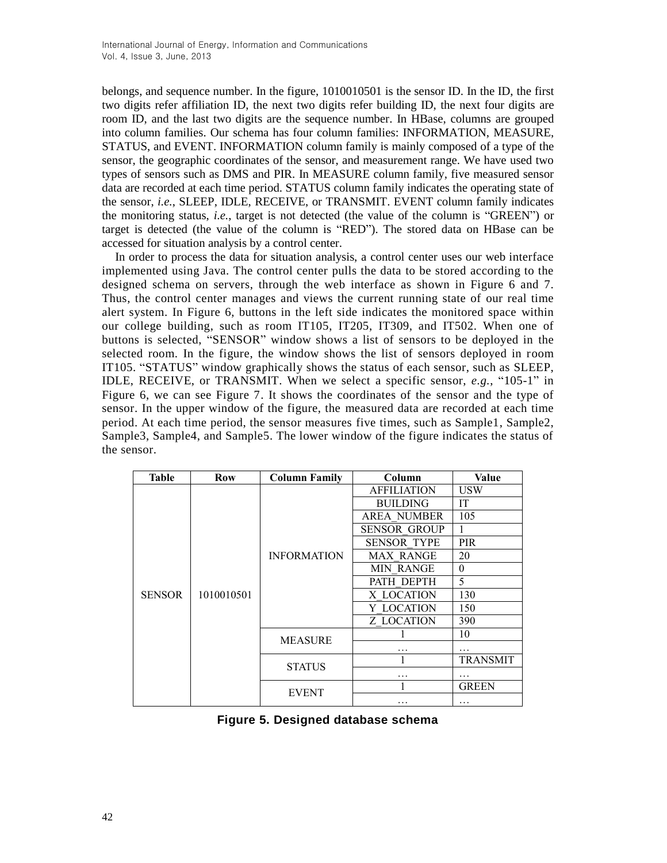belongs, and sequence number. In the figure, 1010010501 is the sensor ID. In the ID, the first two digits refer affiliation ID, the next two digits refer building ID, the next four digits are room ID, and the last two digits are the sequence number. In HBase, columns are grouped into column families. Our schema has four column families: INFORMATION, MEASURE, STATUS, and EVENT. INFORMATION column family is mainly composed of a type of the sensor, the geographic coordinates of the sensor, and measurement range. We have used two types of sensors such as DMS and PIR. In MEASURE column family, five measured sensor data are recorded at each time period. STATUS column family indicates the operating state of the sensor, *i.e.*, SLEEP, IDLE, RECEIVE, or TRANSMIT. EVENT column family indicates the monitoring status, *i.e.*, target is not detected (the value of the column is "GREEN") or target is detected (the value of the column is "RED"). The stored data on HBase can be accessed for situation analysis by a control center.

In order to process the data for situation analysis, a control center uses our web interface implemented using Java. The control center pulls the data to be stored according to the designed schema on servers, through the web interface as shown in Figure 6 and 7. Thus, the control center manages and views the current running state of our real time alert system. In Figure 6, buttons in the left side indicates the monitored space within our college building, such as room IT105, IT205, IT309, and IT502. When one of buttons is selected, "SENSOR" window shows a list of sensors to be deployed in the selected room. In the figure, the window shows the list of sensors deployed in room IT105. "STATUS" window graphically shows the status of each sensor, such as SLEEP, IDLE, RECEIVE, or TRANSMIT. When we select a specific sensor, *e.g.*, "105-1" in Figure 6, we can see Figure 7. It shows the coordinates of the sensor and the type of sensor. In the upper window of the figure, the measured data are recorded at each time period. At each time period, the sensor measures five times, such as Sample1, Sample2, Sample3, Sample4, and Sample5. The lower window of the figure indicates the status of the sensor.

| Table         | Row        | <b>Column Family</b> | Column              | Value           |
|---------------|------------|----------------------|---------------------|-----------------|
|               | 1010010501 | <b>INFORMATION</b>   | <b>AFFILIATION</b>  | <b>USW</b>      |
| <b>SENSOR</b> |            |                      | <b>BUILDING</b>     | IT              |
|               |            |                      | <b>AREA NUMBER</b>  | 105             |
|               |            |                      | <b>SENSOR GROUP</b> |                 |
|               |            |                      | <b>SENSOR TYPE</b>  | <b>PIR</b>      |
|               |            |                      | <b>MAX RANGE</b>    | 20              |
|               |            |                      | <b>MIN RANGE</b>    | $\theta$        |
|               |            |                      | PATH DEPTH          | 5               |
|               |            |                      | X LOCATION          | 130             |
|               |            |                      | Y LOCATION          | 150             |
|               |            |                      | Z LOCATION          | 390             |
|               |            | <b>MEASURE</b>       |                     | 10              |
|               |            |                      | .                   |                 |
|               |            | <b>STATUS</b>        |                     | <b>TRANSMIT</b> |
|               |            |                      | .                   | .               |
|               |            | <b>EVENT</b>         |                     | <b>GREEN</b>    |
|               |            |                      | .                   | .               |

|  | Figure 5. Designed database schema |  |  |
|--|------------------------------------|--|--|
|--|------------------------------------|--|--|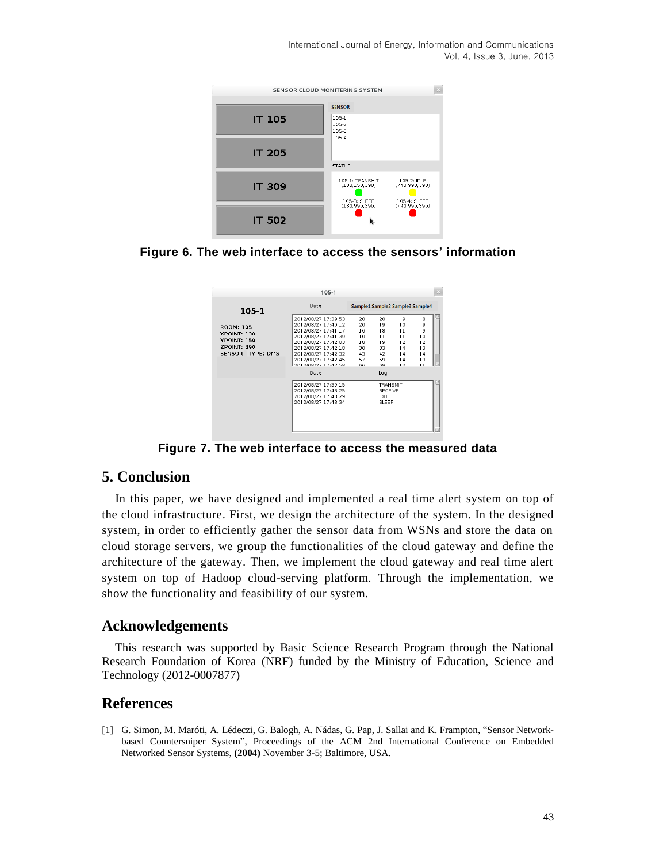International Journal of Energy, Information and Communications Vol. 4, Issue 3, June, 2013



**Figure 6. The web interface to access the sensors' information**



**Figure 7. The web interface to access the measured data**

# **5. Conclusion**

In this paper, we have designed and implemented a real time alert system on top of the cloud infrastructure. First, we design the architecture of the system. In the designed system, in order to efficiently gather the sensor data from WSNs and store the data on cloud storage servers, we group the functionalities of the cloud gateway and define the architecture of the gateway. Then, we implement the cloud gateway and real time alert system on top of Hadoop cloud-serving platform. Through the implementation, we show the functionality and feasibility of our system.

## **Acknowledgements**

This research was supported by Basic Science Research Program through the National Research Foundation of Korea (NRF) funded by the Ministry of Education, Science and Technology (2012-0007877)

# **References**

[1] G. Simon, M. Maróti, A. Lédeczi, G. Balogh, A. Nádas, G. Pap, J. Sallai and K. Frampton, "Sensor Networkbased Countersniper System", Proceedings of the ACM 2nd International Conference on Embedded Networked Sensor Systems, **(2004)** November 3-5; Baltimore, USA.